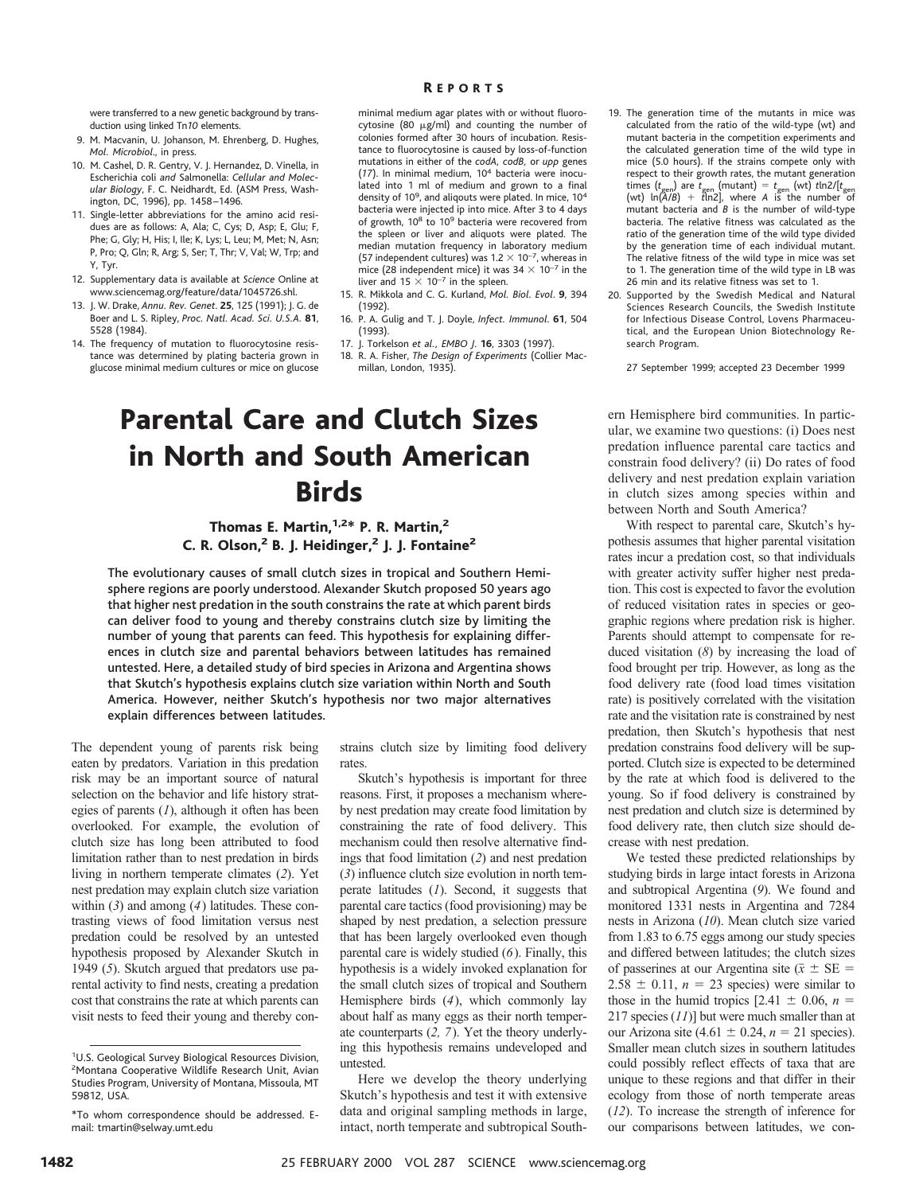#### R EPORTS

were transferred to a new genetic background by transduction using linked Tn*10* elements.

- 9. M. Macvanin, U. Johanson, M. Ehrenberg, D. Hughes, *Mol. Microbiol*., in press.
- 10. M. Cashel, D. R. Gentry, V. J. Hernandez, D. Vinella, in Escherichia coli *and* Salmonella: *Cellular and Molecular Biology*, F. C. Neidhardt, Ed. (ASM Press, Washington, DC, 1996), pp. 1458 –1496.
- 11. Single-letter abbreviations for the amino acid residues are as follows: A, Ala; C, Cys; D, Asp; E, Glu; F, Phe; G, Gly; H, His; I, Ile; K, Lys; L, Leu; M, Met; N, Asn; P, Pro; Q, Gln; R, Arg; S, Ser; T, Thr; V, Val; W, Trp; and Y, Tyr.
- 12. Supplementary data is available at *Science* Online at www.sciencemag.org/feature/data/1045726.shl.
- 13. J. W. Drake, *Annu. Rev. Genet*. **25**, 125 (1991); J. G. de Boer and L. S. Ripley, *Proc. Natl. Acad. Sci. U.S.A.* **81**, 5528 (1984).
- 14. The frequency of mutation to fluorocytosine resistance was determined by plating bacteria grown in glucose minimal medium cultures or mice on glucose

minimal medium agar plates with or without fluorocytosine (80  $\mu$ g/ml) and counting the number of colonies formed after 30 hours of incubation. Resistance to fluorocytosine is caused by loss-of-function mutations in either of the *codA, codB,* or *upp* genes (*17*). In minimal medium, 10<sup>4</sup> bacteria were inoculated into 1 ml of medium and grown to a final density of 10<sup>9</sup>, and aliqouts were plated. In mice, 10<sup>4</sup> bacteria were injected ip into mice. After 3 to 4 days of growth, 10<sup>8</sup> to 10<sup>9</sup> bacteria were recovered from the spleen or liver and aliquots were plated. The median mutation frequency in laboratory medium (57 independent cultures) was 1.2  $\times$  10<sup>-7</sup>, whereas in mice (28 independent mice) it was 34  $\times$  10<sup>-7</sup> in the liver and  $15 \times 10^{-7}$  in the spleen.

- 15. R. Mikkola and C. G. Kurland, *Mol. Biol. Evol*. **9**, 394 (1992).
- 16. P. A. Gulig and T. J. Doyle, *Infect. Immunol*. **61**, 504 (1993).
- 17. J. Torkelson *et al., EMBO J*. **16**, 3303 (1997).
- 18. R. A. Fisher, *The Design of Experiments* (Collier Macmillan, London, 1935).

## Parental Care and Clutch Sizes in North and South American **Birds**

### Thomas E. Martin, $1,2*$  P. R. Martin, $2$ C. R. Olson, $2$  B. J. Heidinger, $2$  J. J. Fontaine $2$

The evolutionary causes of small clutch sizes in tropical and Southern Hemisphere regions are poorly understood. Alexander Skutch proposed 50 years ago that higher nest predation in the south constrains the rate at which parent birds can deliver food to young and thereby constrains clutch size by limiting the number of young that parents can feed. This hypothesis for explaining differences in clutch size and parental behaviors between latitudes has remained untested. Here, a detailed study of bird species in Arizona and Argentina shows that Skutch's hypothesis explains clutch size variation within North and South America. However, neither Skutch's hypothesis nor two major alternatives explain differences between latitudes.

The dependent young of parents risk being eaten by predators. Variation in this predation risk may be an important source of natural selection on the behavior and life history strategies of parents (*1*), although it often has been overlooked. For example, the evolution of clutch size has long been attributed to food limitation rather than to nest predation in birds living in northern temperate climates (*2*). Yet nest predation may explain clutch size variation within (*3*) and among (*4*) latitudes. These contrasting views of food limitation versus nest predation could be resolved by an untested hypothesis proposed by Alexander Skutch in 1949 (*5*). Skutch argued that predators use parental activity to find nests, creating a predation cost that constrains the rate at which parents can visit nests to feed their young and thereby con-

strains clutch size by limiting food delivery rates.

Skutch's hypothesis is important for three reasons. First, it proposes a mechanism whereby nest predation may create food limitation by constraining the rate of food delivery. This mechanism could then resolve alternative findings that food limitation (*2*) and nest predation (*3*) influence clutch size evolution in north temperate latitudes (*1*). Second, it suggests that parental care tactics (food provisioning) may be shaped by nest predation, a selection pressure that has been largely overlooked even though parental care is widely studied (*6*). Finally, this hypothesis is a widely invoked explanation for the small clutch sizes of tropical and Southern Hemisphere birds (*4*), which commonly lay about half as many eggs as their north temperate counterparts (*2, 7*). Yet the theory underlying this hypothesis remains undeveloped and untested.

Here we develop the theory underlying Skutch's hypothesis and test it with extensive data and original sampling methods in large, intact, north temperate and subtropical South-

- 19. The generation time of the mutants in mice was calculated from the ratio of the wild-type (wt) and mutant bacteria in the competition experiments and the calculated generation time of the wild type in mice (5.0 hours). If the strains compete only with respect to their growth rates, the mutant generation times (*t*gen) are *t*gen (mutant) 5 *t*gen (wt) *t*ln2/[*t*gen (wt) ln(*A*/*B*) 1 *t*ln2], where *A* is the number of mutant bacteria and *B* is the number of wild-type bacteria. The relative fitness was calculated as the ratio of the generation time of the wild type divided by the generation time of each individual mutant. The relative fitness of the wild type in mice was set to 1. The generation time of the wild type in LB was 26 min and its relative fitness was set to 1.
- 20. Supported by the Swedish Medical and Natural Sciences Research Councils, the Swedish Institute for Infectious Disease Control, Lovens Pharmaceutical, and the European Union Biotechnology Research Program.

27 September 1999; accepted 23 December 1999

ern Hemisphere bird communities. In particular, we examine two questions: (i) Does nest predation influence parental care tactics and constrain food delivery? (ii) Do rates of food delivery and nest predation explain variation in clutch sizes among species within and between North and South America?

With respect to parental care, Skutch's hypothesis assumes that higher parental visitation rates incur a predation cost, so that individuals with greater activity suffer higher nest predation. This cost is expected to favor the evolution of reduced visitation rates in species or geographic regions where predation risk is higher. Parents should attempt to compensate for reduced visitation (*8*) by increasing the load of food brought per trip. However, as long as the food delivery rate (food load times visitation rate) is positively correlated with the visitation rate and the visitation rate is constrained by nest predation, then Skutch's hypothesis that nest predation constrains food delivery will be supported. Clutch size is expected to be determined by the rate at which food is delivered to the young. So if food delivery is constrained by nest predation and clutch size is determined by food delivery rate, then clutch size should decrease with nest predation.

We tested these predicted relationships by studying birds in large intact forests in Arizona and subtropical Argentina (*9*). We found and monitored 1331 nests in Argentina and 7284 nests in Arizona (*10*). Mean clutch size varied from 1.83 to 6.75 eggs among our study species and differed between latitudes; the clutch sizes of passerines at our Argentina site ( $\bar{x} \pm \text{SE} =$  $2.58 \pm 0.11$ ,  $n = 23$  species) were similar to those in the humid tropics  $[2.41 \pm 0.06, n =$ 217 species (*11*)] but were much smaller than at our Arizona site (4.61  $\pm$  0.24, *n* = 21 species). Smaller mean clutch sizes in southern latitudes could possibly reflect effects of taxa that are unique to these regions and that differ in their ecology from those of north temperate areas (*12*). To increase the strength of inference for our comparisons between latitudes, we con-

<sup>1</sup> U.S. Geological Survey Biological Resources Division, <sup>2</sup>Montana Cooperative Wildlife Research Unit, Avian Studies Program, University of Montana, Missoula, MT 59812, USA.

<sup>\*</sup>To whom correspondence should be addressed. Email: tmartin@selway.umt.edu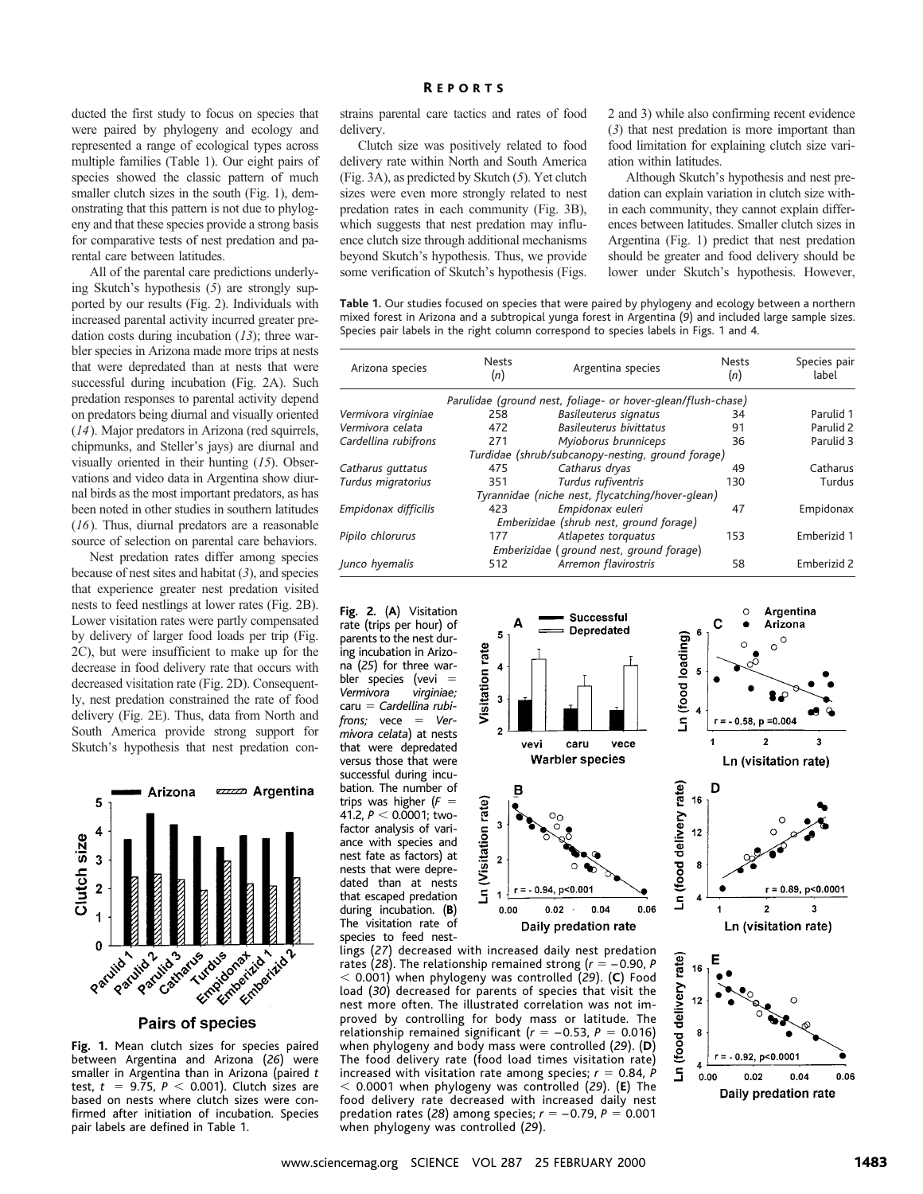ducted the first study to focus on species that were paired by phylogeny and ecology and represented a range of ecological types across multiple families (Table 1). Our eight pairs of species showed the classic pattern of much smaller clutch sizes in the south (Fig. 1), demonstrating that this pattern is not due to phylogeny and that these species provide a strong basis for comparative tests of nest predation and parental care between latitudes.

All of the parental care predictions underlying Skutch's hypothesis (*5*) are strongly supported by our results (Fig. 2). Individuals with increased parental activity incurred greater predation costs during incubation (*13*); three warbler species in Arizona made more trips at nests that were depredated than at nests that were successful during incubation (Fig. 2A). Such predation responses to parental activity depend on predators being diurnal and visually oriented (*14*). Major predators in Arizona (red squirrels, chipmunks, and Steller's jays) are diurnal and visually oriented in their hunting (*15*). Observations and video data in Argentina show diurnal birds as the most important predators, as has been noted in other studies in southern latitudes (*16*). Thus, diurnal predators are a reasonable source of selection on parental care behaviors.

Nest predation rates differ among species because of nest sites and habitat (*3*), and species that experience greater nest predation visited nests to feed nestlings at lower rates (Fig. 2B). Lower visitation rates were partly compensated by delivery of larger food loads per trip (Fig. 2C), but were insufficient to make up for the decrease in food delivery rate that occurs with decreased visitation rate (Fig. 2D). Consequently, nest predation constrained the rate of food delivery (Fig. 2E). Thus, data from North and South America provide strong support for Skutch's hypothesis that nest predation con-



Pairs of species

**Fig. 1.** Mean clutch sizes for species paired between Argentina and Arizona (*26*) were smaller in Argentina than in Arizona (paired *t* test,  $t = 9.75$ ,  $P < 0.001$ ). Clutch sizes are based on nests where clutch sizes were confirmed after initiation of incubation. Species pair labels are defined in Table 1.

#### **REPORTS**

strains parental care tactics and rates of food delivery.

Clutch size was positively related to food delivery rate within North and South America (Fig. 3A), as predicted by Skutch (*5*). Yet clutch sizes were even more strongly related to nest predation rates in each community (Fig. 3B), which suggests that nest predation may influence clutch size through additional mechanisms beyond Skutch's hypothesis. Thus, we provide some verification of Skutch's hypothesis (Figs. 2 and 3) while also confirming recent evidence (*3*) that nest predation is more important than food limitation for explaining clutch size variation within latitudes.

Although Skutch's hypothesis and nest predation can explain variation in clutch size within each community, they cannot explain differences between latitudes. Smaller clutch sizes in Argentina (Fig. 1) predict that nest predation should be greater and food delivery should be lower under Skutch's hypothesis. However,

 $\circ$ 

**Table 1.** Our studies focused on species that were paired by phylogeny and ecology between a northern mixed forest in Arizona and a subtropical yunga forest in Argentina (*9*) and included large sample sizes. Species pair labels in the right column correspond to species labels in Figs. 1 and 4.

| Arizona species      | <b>Nests</b><br>(n) | Argentina species                                            | <b>Nests</b><br>(n) | Species pair<br>label |
|----------------------|---------------------|--------------------------------------------------------------|---------------------|-----------------------|
|                      |                     | Parulidae (ground nest, foliage- or hover-glean/flush-chase) |                     |                       |
| Vermivora virginiae  | 258                 | Basileuterus signatus                                        | 34                  | Parulid 1             |
| Vermivora celata     | 472                 | Basileuterus bivittatus                                      | 91                  | Parulid 2             |
| Cardellina rubifrons | 271                 | Myioborus brunniceps                                         | 36                  | Parulid 3             |
|                      |                     | Turdidae (shrub/subcanopy-nesting, ground forage)            |                     |                       |
| Catharus guttatus    | 475                 | Catharus dryas                                               | 49                  | Catharus              |
| Turdus migratorius   | 351                 | Turdus rufiventris                                           | 130                 | Turdus                |
|                      |                     | Tyrannidae (niche nest, flycatching/hover-glean)             |                     |                       |
| Empidonax difficilis | 423                 | Empidonax euleri                                             | 47                  | Empidonax             |
|                      |                     | Emberizidae (shrub nest, ground forage)                      |                     |                       |
| Pipilo chlorurus     | 177                 | Atlapetes torquatus                                          | 153                 | Emberizid 1           |
|                      |                     | Emberizidae (ground nest, ground forage)                     |                     |                       |
| Junco hyemalis       | 512                 | Arremon flavirostris                                         | 58                  | Emberizid 2           |

**Fig. 2.** (**A**) Visitation rate (trips per hour) of parents to the nest during incubation in Arizona (*25*) for three warbler species (vevi =<br>Vermivora virginiae:  $Vermivora$ caru 5 *Cardellina rubifrons*; vece = Ver*mivora celata*) at nests that were depredated versus those that were successful during incubation. The number of trips was higher  $(F =$ 41.2,  $P < 0.0001$ ; twofactor analysis of variance with species and nest fate as factors) at nests that were depredated than at nests that escaped predation during incubation. (**B**) The visitation rate of species to feed nest-



4 S

 $0.00$ 

 $0.02$ 

 $0.04$ Daily predation rate

relationship remained significant  $(r = -0.53, P = 0.016)$ when phylogeny and body mass were controlled (*29*). (**D**) The food delivery rate (food load times visitation rate) increased with visitation rate among species;  $r = 0.84$ , *P* , 0.0001 when phylogeny was controlled (*29*). (**E**) The food delivery rate decreased with increased daily nest predation rates (28) among species;  $r = -0.79$ ,  $P = 0.001$ when phylogeny was controlled (*29*).

Visitation rate

Ln (Visitation rate)

0.06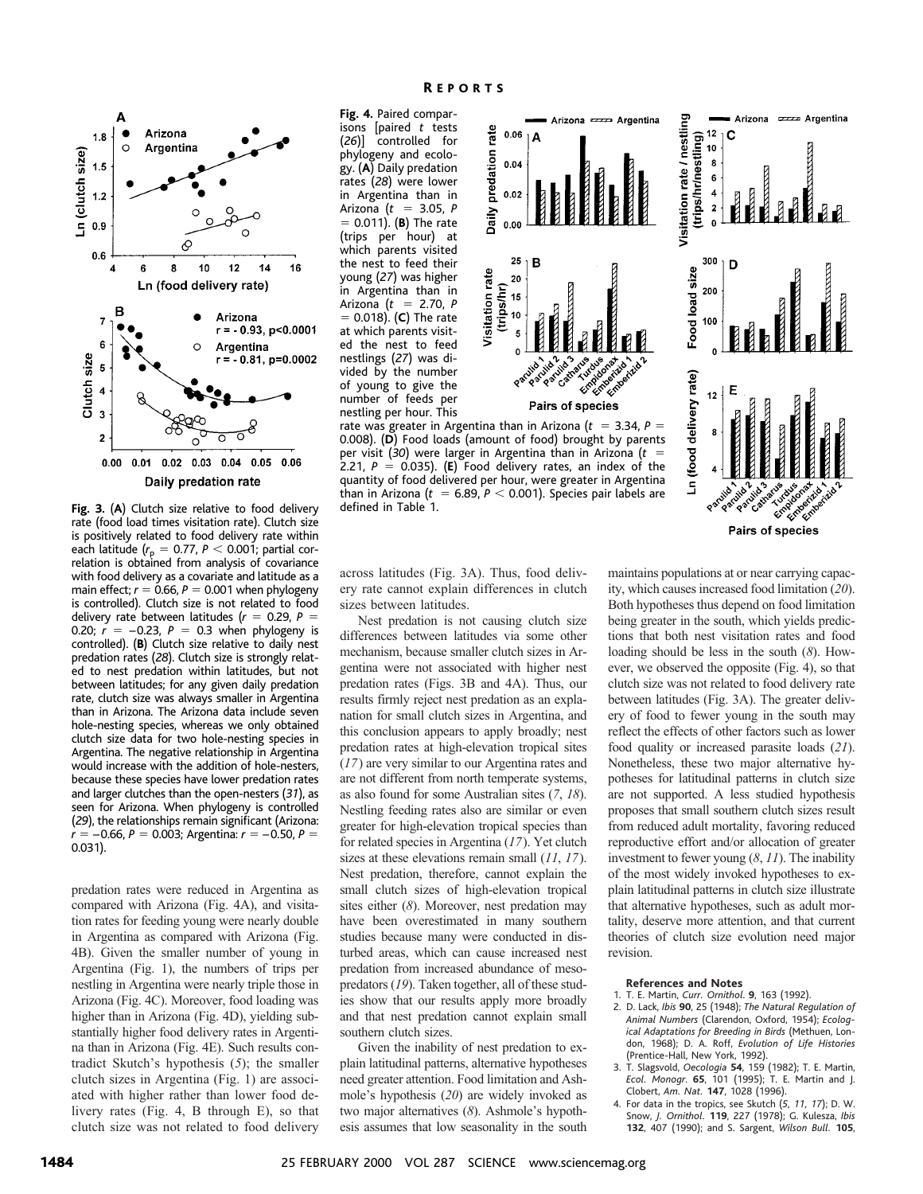

**Fig. 3.** (**A**) Clutch size relative to food delivery rate (food load times visitation rate). Clutch size is positively related to food delivery rate within each latitude ( $r_{\rm p}$  = 0.77, *P*  $<$  0.001; partial cor-<br>relation is obtained from analysis of covariance with food delivery as a covariate and latitude as a main effect;  $r = 0.66$ ,  $P = 0.001$  when phylogeny is controlled). Clutch size is not related to food delivery rate between latitudes  $(r = 0.29, P =$ 0.20;  $\vec{r} = -0.23$ ,  $P = 0.3$  when phylogeny is controlled). (**B**) Clutch size relative to daily nest predation rates (*28*). Clutch size is strongly related to nest predation within latitudes, but not between latitudes; for any given daily predation rate, clutch size was always smaller in Argentina than in Arizona. The Arizona data include seven hole-nesting species, whereas we only obtained clutch size data for two hole-nesting species in Argentina. The negative relationship in Argentina would increase with the addition of hole-nesters, because these species have lower predation rates and larger clutches than the open-nesters (*31*), as seen for Arizona. When phylogeny is controlled (*29*), the relationships remain significant (Arizona:  $r = -0.66$ ,  $P = 0.003$ ; Argentina:  $r = -0.50$ ,  $P =$ 0.031).

predation rates were reduced in Argentina as compared with Arizona (Fig. 4A), and visitation rates for feeding young were nearly double in Argentina as compared with Arizona (Fig. 4B). Given the smaller number of young in Argentina (Fig. 1), the numbers of trips per nestling in Argentina were nearly triple those in Arizona (Fig. 4C). Moreover, food loading was higher than in Arizona (Fig. 4D), yielding substantially higher food delivery rates in Argentina than in Arizona (Fig. 4E). Such results contradict Skutch's hypothesis (*5*); the smaller clutch sizes in Argentina (Fig. 1) are associated with higher rather than lower food delivery rates (Fig. 4, B through E), so that clutch size was not related to food delivery

**Fig. 4.** Paired comparisons [paired *t* tests (*26*)] controlled for phylogeny and ecology. (**A**) Daily predation rates (*28*) were lower in Argentina than in Arizona (*t* 5 3.05, *P* 5 0.011). (**B**) The rate (trips per hour) at which parents visited the nest to feed their young (*27*) was higher in Argentina than in Arizona ( $t = 2.70, P$ 5 0.018). (**C**) The rate at which parents visited the nest to feed nestlings (*27*) was divided by the number of young to give the number of feeds per nestling per hour. This

defined in Table 1.



Pairs of species

across latitudes (Fig. 3A). Thus, food delivery rate cannot explain differences in clutch sizes between latitudes.

Nest predation is not causing clutch size differences between latitudes via some other mechanism, because smaller clutch sizes in Argentina were not associated with higher nest predation rates (Figs. 3B and 4A). Thus, our results firmly reject nest predation as an explanation for small clutch sizes in Argentina, and this conclusion appears to apply broadly; nest predation rates at high-elevation tropical sites (*17*) are very similar to our Argentina rates and are not different from north temperate systems, as also found for some Australian sites (*7*, *18*). Nestling feeding rates also are similar or even greater for high-elevation tropical species than for related species in Argentina (*17*). Yet clutch sizes at these elevations remain small (*11*, *17*). Nest predation, therefore, cannot explain the small clutch sizes of high-elevation tropical sites either (*8*). Moreover, nest predation may have been overestimated in many southern studies because many were conducted in disturbed areas, which can cause increased nest predation from increased abundance of mesopredators (*19*). Taken together, all of these studies show that our results apply more broadly and that nest predation cannot explain small southern clutch sizes.

Given the inability of nest predation to explain latitudinal patterns, alternative hypotheses need greater attention. Food limitation and Ashmole's hypothesis (*20*) are widely invoked as two major alternatives (*8*). Ashmole's hypothesis assumes that low seasonality in the south

maintains populations at or near carrying capacity, which causes increased food limitation (*20*). Both hypotheses thus depend on food limitation being greater in the south, which yields predictions that both nest visitation rates and food loading should be less in the south (*8*). However, we observed the opposite (Fig. 4), so that clutch size was not related to food delivery rate between latitudes (Fig. 3A). The greater delivery of food to fewer young in the south may reflect the effects of other factors such as lower food quality or increased parasite loads (*21*). Nonetheless, these two major alternative hypotheses for latitudinal patterns in clutch size are not supported. A less studied hypothesis proposes that small southern clutch sizes result from reduced adult mortality, favoring reduced reproductive effort and/or allocation of greater investment to fewer young (*8*, *11*). The inability of the most widely invoked hypotheses to explain latitudinal patterns in clutch size illustrate that alternative hypotheses, such as adult mortality, deserve more attention, and that current theories of clutch size evolution need major revision.

#### **References and Notes**

- 1. T. E. Martin, *Curr. Ornithol*. **9**, 163 (1992).
- 2. D. Lack, *Ibis* **90**, 25 (1948); *The Natural Regulation of Animal Numbers* (Clarendon, Oxford, 1954); *Ecological Adaptations for Breeding in Birds* (Methuen, London, 1968); D. A. Roff, *Evolution of Life Histories* (Prentice-Hall, New York, 1992).
- 3. T. Slagsvold, *Oecologia* **54**, 159 (1982); T. E. Martin, *Ecol. Monogr*. **65**, 101 (1995); T. E. Martin and J. Clobert, *Am. Nat.* **147**, 1028 (1996).
- 4. For data in the tropics, see Skutch (*5, 11, 17*); D. W. Snow, *J. Ornithol.* **119**, 227 (1978); G. Kulesza, *Ibis* **132**, 407 (1990); and S. Sargent, *Wilson Bull.* **105**,